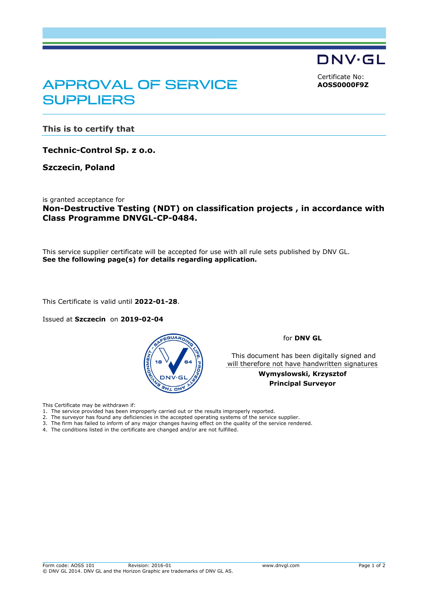DNV·GL

<span id="page-0-0"></span>Certificate No: **AOSS0000F9Z**

## APPROVAL OF SERVICE **SUPPLIERS**

**This is to certify that**

**Technic-Control Sp. z o.o.**

**Szczecin, Poland**

is granted acceptance for **Non-Destructive Testing (NDT) on classification projects , in accordance with Class Programme DNVGL-CP-0484.**

This service supplier certificate will be accepted for use with all rule sets published by DNV GL. **See the following page(s) for details regarding application.**

This Certificate is valid until **2022-01-28**.

Issued at **Szczecin** on **2019-02-04** 



for **DNV GL**

 This document has been digitally signed and will therefore not have handwritten signatures

> **Wymyslowski, Krzysztof Principal Surveyor**

This Certificate may be withdrawn if:

- 1. The service provided has been improperly carried out or the results improperly reported.
- 2. The surveyor has found any deficiencies in the accepted operating systems of the service supplier.
- 3. The firm has failed to inform of any major changes having effect on the quality of the service rendered.
- 4. The conditions listed in the certificate are changed and/or are not fulfilled.